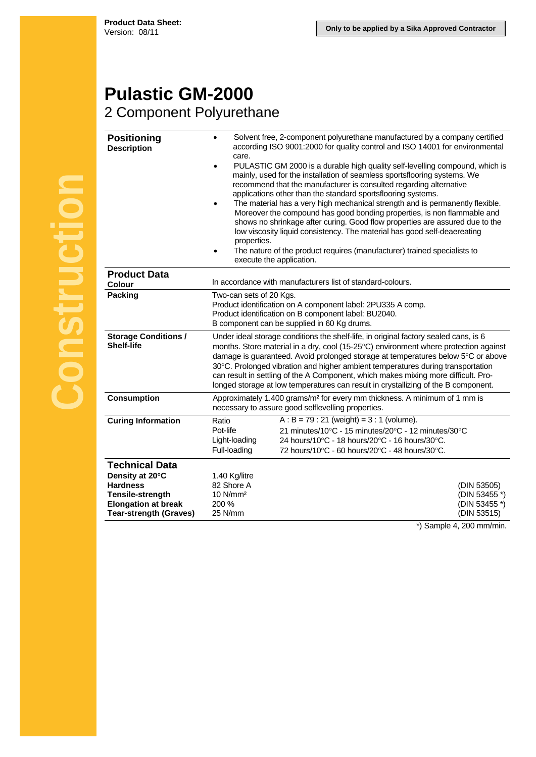## **Pulastic GM-2000**

## 2 Component Polyurethane

| <b>Positioning</b><br><b>Description</b>                                                                                                       | Solvent free, 2-component polyurethane manufactured by a company certified<br>according ISO 9001:2000 for quality control and ISO 14001 for environmental<br>care.<br>PULASTIC GM 2000 is a durable high quality self-levelling compound, which is<br>mainly, used for the installation of seamless sportsflooring systems. We<br>recommend that the manufacturer is consulted regarding alternative<br>applications other than the standard sportsflooring systems.<br>The material has a very high mechanical strength and is permanently flexible.<br>Moreover the compound has good bonding properties, is non flammable and<br>shows no shrinkage after curing. Good flow properties are assured due to the<br>low viscosity liquid consistency. The material has good self-deaereating<br>properties.<br>The nature of the product requires (manufacturer) trained specialists to<br>execute the application. |                                                                                                                                                                                                         |                                                              |
|------------------------------------------------------------------------------------------------------------------------------------------------|---------------------------------------------------------------------------------------------------------------------------------------------------------------------------------------------------------------------------------------------------------------------------------------------------------------------------------------------------------------------------------------------------------------------------------------------------------------------------------------------------------------------------------------------------------------------------------------------------------------------------------------------------------------------------------------------------------------------------------------------------------------------------------------------------------------------------------------------------------------------------------------------------------------------|---------------------------------------------------------------------------------------------------------------------------------------------------------------------------------------------------------|--------------------------------------------------------------|
| <b>Product Data</b><br><b>Colour</b>                                                                                                           |                                                                                                                                                                                                                                                                                                                                                                                                                                                                                                                                                                                                                                                                                                                                                                                                                                                                                                                     | In accordance with manufacturers list of standard-colours.                                                                                                                                              |                                                              |
| <b>Packing</b>                                                                                                                                 | Two-can sets of 20 Kgs.<br>Product identification on A component label: 2PU335 A comp.<br>Product identification on B component label: BU2040.<br>B component can be supplied in 60 Kg drums.                                                                                                                                                                                                                                                                                                                                                                                                                                                                                                                                                                                                                                                                                                                       |                                                                                                                                                                                                         |                                                              |
| <b>Storage Conditions /</b><br><b>Shelf-life</b>                                                                                               | Under ideal storage conditions the shelf-life, in original factory sealed cans, is 6<br>months. Store material in a dry, cool (15-25°C) environment where protection against<br>damage is guaranteed. Avoid prolonged storage at temperatures below 5°C or above<br>30°C. Prolonged vibration and higher ambient temperatures during transportation<br>can result in settling of the A Component, which makes mixing more difficult. Pro-<br>longed storage at low temperatures can result in crystallizing of the B component.                                                                                                                                                                                                                                                                                                                                                                                     |                                                                                                                                                                                                         |                                                              |
| <b>Consumption</b>                                                                                                                             | Approximately 1.400 grams/m <sup>2</sup> for every mm thickness. A minimum of 1 mm is<br>necessary to assure good selflevelling properties.                                                                                                                                                                                                                                                                                                                                                                                                                                                                                                                                                                                                                                                                                                                                                                         |                                                                                                                                                                                                         |                                                              |
| <b>Curing Information</b>                                                                                                                      | Ratio<br>Pot-life<br>Light-loading<br>Full-loading                                                                                                                                                                                                                                                                                                                                                                                                                                                                                                                                                                                                                                                                                                                                                                                                                                                                  | $A : B = 79 : 21$ (weight) = 3 : 1 (volume).<br>21 minutes/10°C - 15 minutes/20°C - 12 minutes/30°C<br>24 hours/10°C - 18 hours/20°C - 16 hours/30°C.<br>72 hours/10°C - 60 hours/20°C - 48 hours/30°C. |                                                              |
| <b>Technical Data</b><br>Density at 20°C<br><b>Hardness</b><br>Tensile-strength<br><b>Elongation at break</b><br><b>Tear-strength (Graves)</b> | 1.40 Kg/litre<br>82 Shore A<br>10 N/mm <sup>2</sup><br>200 %<br>25 N/mm                                                                                                                                                                                                                                                                                                                                                                                                                                                                                                                                                                                                                                                                                                                                                                                                                                             |                                                                                                                                                                                                         | (DIN 53505)<br>(DIN 53455 *)<br>(DIN 53455 *)<br>(DIN 53515) |

\*) Sample 4, 200 mm/min.